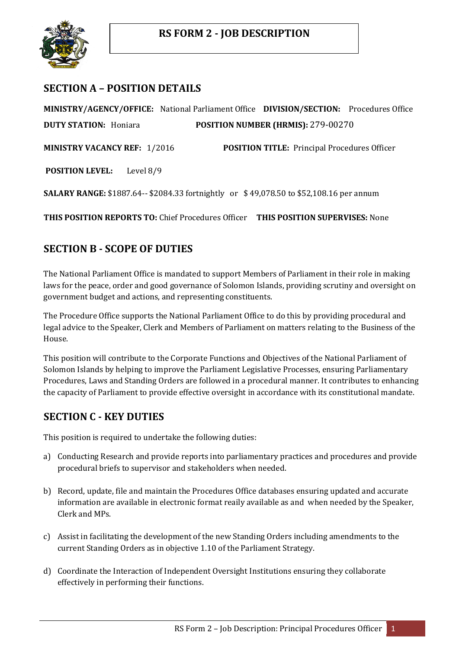

# **SECTION A – POSITION DETAILS**

**MINISTRY/AGENCY/OFFICE:** National Parliament Office **DIVISION/SECTION:** Procedures Office **DUTY STATION:** Honiara **POSITION NUMBER (HRMIS):** 279-00270

**MINISTRY VACANCY REF:** 1/2016 **POSITION TITLE:** Principal Procedures Officer

**POSITION LEVEL:** Level 8/9

**SALARY RANGE:** \$1887.64-- \$2084.33 fortnightly or \$ 49,078.50 to \$52,108.16 per annum

**THIS POSITION REPORTS TO:** Chief Procedures Officer **THIS POSITION SUPERVISES:** None

# **SECTION B - SCOPE OF DUTIES**

The National Parliament Office is mandated to support Members of Parliament in their role in making laws for the peace, order and good governance of Solomon Islands, providing scrutiny and oversight on government budget and actions, and representing constituents.

The Procedure Office supports the National Parliament Office to do this by providing procedural and legal advice to the Speaker, Clerk and Members of Parliament on matters relating to the Business of the House.

This position will contribute to the Corporate Functions and Objectives of the National Parliament of Solomon Islands by helping to improve the Parliament Legislative Processes, ensuring Parliamentary Procedures, Laws and Standing Orders are followed in a procedural manner. It contributes to enhancing the capacity of Parliament to provide effective oversight in accordance with its constitutional mandate.

## **SECTION C - KEY DUTIES**

This position is required to undertake the following duties:

- a) Conducting Research and provide reports into parliamentary practices and procedures and provide procedural briefs to supervisor and stakeholders when needed.
- b) Record, update, file and maintain the Procedures Office databases ensuring updated and accurate information are available in electronic format reaily available as and when needed by the Speaker, Clerk and MPs.
- c) Assist in facilitating the development of the new Standing Orders including amendments to the current Standing Orders as in objective 1.10 of the Parliament Strategy.
- d) Coordinate the Interaction of Independent Oversight Institutions ensuring they collaborate effectively in performing their functions.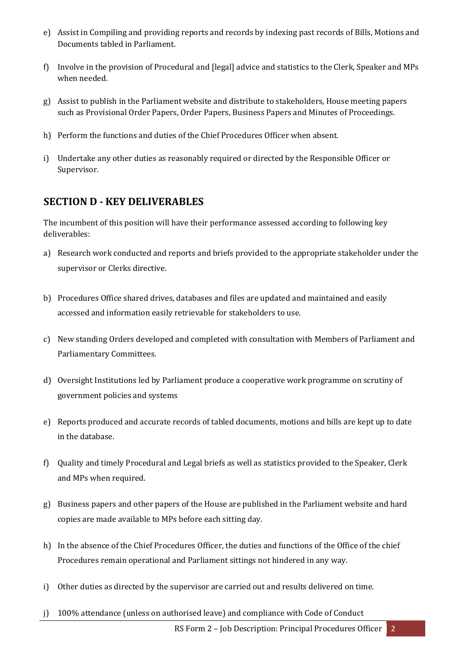- e) Assist in Compiling and providing reports and records by indexing past records of Bills, Motions and Documents tabled in Parliament.
- f) Involve in the provision of Procedural and [legal] advice and statistics to the Clerk, Speaker and MPs when needed.
- g) Assist to publish in the Parliament website and distribute to stakeholders, House meeting papers such as Provisional Order Papers, Order Papers, Business Papers and Minutes of Proceedings.
- h) Perform the functions and duties of the Chief Procedures Officer when absent.
- i) Undertake any other duties as reasonably required or directed by the Responsible Officer or Supervisor.

### **SECTION D - KEY DELIVERABLES**

The incumbent of this position will have their performance assessed according to following key deliverables:

- a) Research work conducted and reports and briefs provided to the appropriate stakeholder under the supervisor or Clerks directive.
- b) Procedures Office shared drives, databases and files are updated and maintained and easily accessed and information easily retrievable for stakeholders to use.
- c) New standing Orders developed and completed with consultation with Members of Parliament and Parliamentary Committees.
- d) Oversight Institutions led by Parliament produce a cooperative work programme on scrutiny of government policies and systems
- e) Reports produced and accurate records of tabled documents, motions and bills are kept up to date in the database.
- f) Quality and timely Procedural and Legal briefs as well as statistics provided to the Speaker, Clerk and MPs when required.
- g) Business papers and other papers of the House are published in the Parliament website and hard copies are made available to MPs before each sitting day.
- h) In the absence of the Chief Procedures Officer, the duties and functions of the Office of the chief Procedures remain operational and Parliament sittings not hindered in any way.
- i) Other duties as directed by the supervisor are carried out and results delivered on time.
- j) 100% attendance (unless on authorised leave) and compliance with Code of Conduct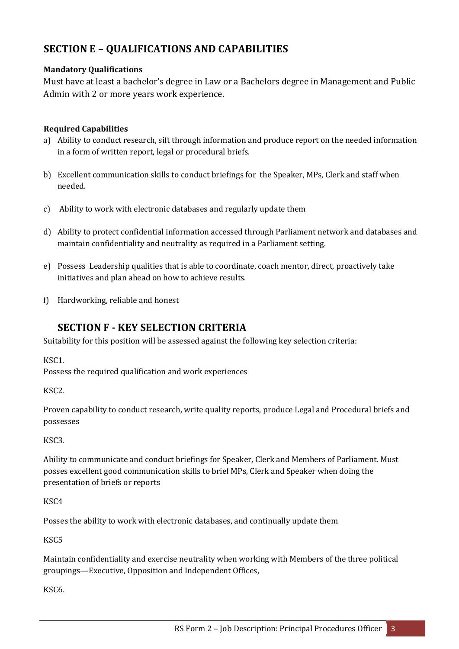# **SECTION E – QUALIFICATIONS AND CAPABILITIES**

#### **Mandatory Qualifications**

Must have at least a bachelor's degree in Law or a Bachelors degree in Management and Public Admin with 2 or more years work experience.

#### **Required Capabilities**

- a) Ability to conduct research, sift through information and produce report on the needed information in a form of written report, legal or procedural briefs.
- b) Excellent communication skills to conduct briefings for the Speaker, MPs, Clerk and staff when needed.
- c) Ability to work with electronic databases and regularly update them
- d) Ability to protect confidential information accessed through Parliament network and databases and maintain confidentiality and neutrality as required in a Parliament setting.
- e) Possess Leadership qualities that is able to coordinate, coach mentor, direct, proactively take initiatives and plan ahead on how to achieve results.
- f) Hardworking, reliable and honest

## **SECTION F - KEY SELECTION CRITERIA**

Suitability for this position will be assessed against the following key selection criteria:

KSC1.

Possess the required qualification and work experiences

KSC2.

Proven capability to conduct research, write quality reports, produce Legal and Procedural briefs and possesses

KSC3.

Ability to communicate and conduct briefings for Speaker, Clerk and Members of Parliament. Must posses excellent good communication skills to brief MPs, Clerk and Speaker when doing the presentation of briefs or reports

KSC4

Posses the ability to work with electronic databases, and continually update them

KSC5

Maintain confidentiality and exercise neutrality when working with Members of the three political groupings—Executive, Opposition and Independent Offices,

KSC6.